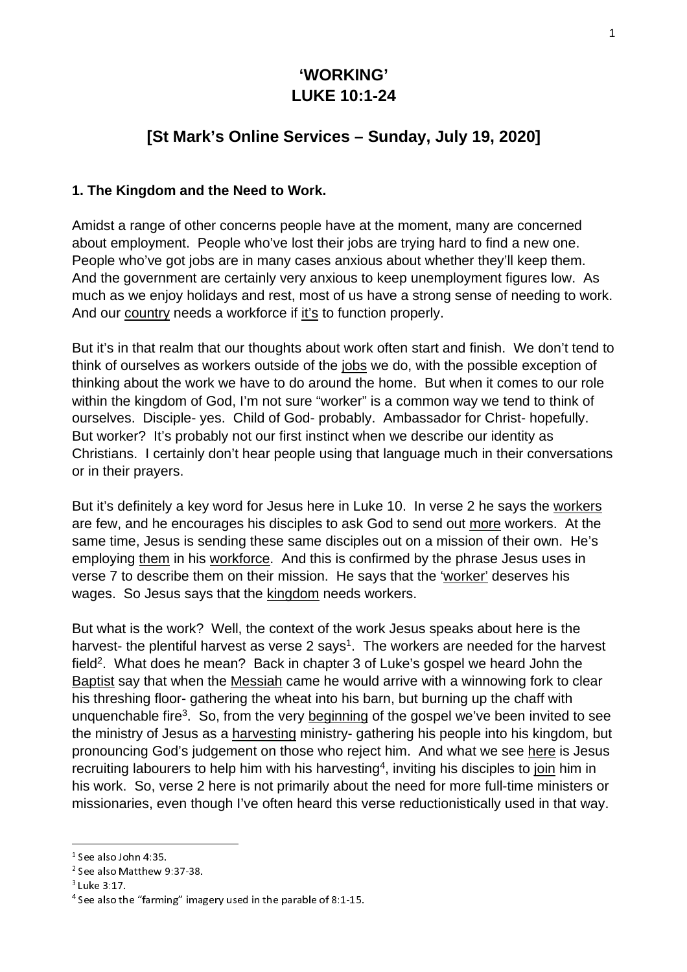# **'WORKING' LUKE 10:1-24**

# **[St Mark's Online Services – Sunday, July 19, 2020]**

#### **1. The Kingdom and the Need to Work.**

Amidst a range of other concerns people have at the moment, many are concerned about employment. People who've lost their jobs are trying hard to find a new one. People who've got jobs are in many cases anxious about whether they'll keep them. And the government are certainly very anxious to keep unemployment figures low. As much as we enjoy holidays and rest, most of us have a strong sense of needing to work. And our country needs a workforce if it's to function properly.

But it's in that realm that our thoughts about work often start and finish. We don't tend to think of ourselves as workers outside of the jobs we do, with the possible exception of thinking about the work we have to do around the home. But when it comes to our role within the kingdom of God, I'm not sure "worker" is a common way we tend to think of ourselves. Disciple- yes. Child of God- probably. Ambassador for Christ- hopefully. But worker? It's probably not our first instinct when we describe our identity as Christians. I certainly don't hear people using that language much in their conversations or in their prayers.

But it's definitely a key word for Jesus here in Luke 10. In verse 2 he says the workers are few, and he encourages his disciples to ask God to send out more workers. At the same time, Jesus is sending these same disciples out on a mission of their own. He's employing them in his workforce. And this is confirmed by the phrase Jesus uses in verse 7 to describe them on their mission. He says that the 'worker' deserves his wages. So Jesus says that the kingdom needs workers.

But what is the work? Well, the context of the work Jesus speaks about here is the harvest- the plentiful harvest as verse 2 says<sup>1</sup>. The workers are needed for the harvest field<sup>2</sup>. What does he mean? Back in chapter 3 of Luke's gospel we heard John the Baptist say that when the Messiah came he would arrive with a winnowing fork to clear his threshing floor- gathering the wheat into his barn, but burning up the chaff with unquenchable fire<sup>3</sup>. So, from the very beginning of the gospel we've been invited to see the ministry of Jesus as a harvesting ministry- gathering his people into his kingdom, but pronouncing God's judgement on those who reject him. And what we see here is Jesus recruiting labourers to help him with his harvesting<sup>4</sup>, inviting his disciples to join him in his work. So, verse 2 here is not primarily about the need for more full-time ministers or missionaries, even though I've often heard this verse reductionistically used in that way.

 $1$  See also John 4:35.

 $2$  See also Matthew 9:37-38. <sup>2</sup> See also Matthew 9:37-38.<br><sup>3</sup> Luke 3:17.<br><sup>4</sup> See also the "farming" ima<sub>{</sub>

<sup>&</sup>lt;sup>3</sup> Luke 3:17.<br><sup>4</sup> See also th

See also the "farming" imagery used in the parable of 8:1-15.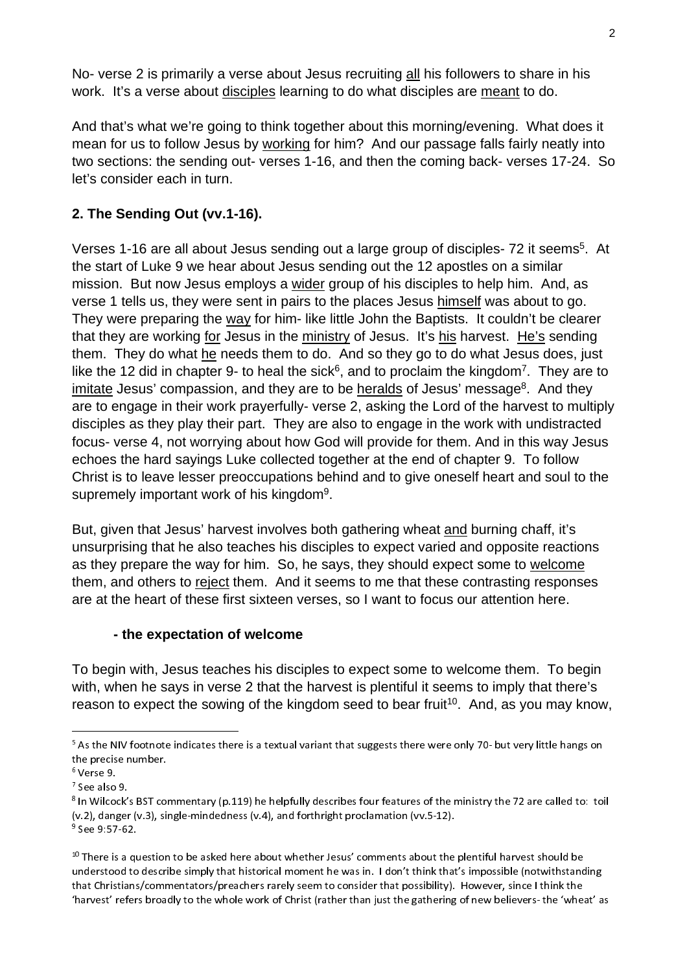No- verse 2 is primarily a verse about Jesus recruiting all his followers to share in his work. It's a verse about disciples learning to do what disciples are meant to do.

And that's what we're going to think together about this morning/evening. What does it mean for us to follow Jesus by working for him? And our passage falls fairly neatly into two sections: the sending out- verses 1-16, and then the coming back- verses 17-24. So let's consider each in turn.

# **2. The Sending Out (vv.1-16).**

Verses 1-16 are all about Jesus sending out a large group of disciples- 72 it seems<sup>5</sup>. At the start of Luke 9 we hear about Jesus sending out the 12 apostles on a similar mission. But now Jesus employs a wider group of his disciples to help him. And, as verse 1 tells us, they were sent in pairs to the places Jesus himself was about to go. They were preparing the way for him- like little John the Baptists. It couldn't be clearer that they are working for Jesus in the ministry of Jesus. It's his harvest. He's sending them. They do what he needs them to do. And so they go to do what Jesus does, just like the 12 did in chapter 9- to heal the sick<sup>6</sup>, and to proclaim the kingdom<sup>7</sup>. They are to imitate Jesus' compassion, and they are to be heralds of Jesus' message<sup>8</sup>. And they are to engage in their work prayerfully- verse 2, asking the Lord of the harvest to multiply disciples as they play their part. They are also to engage in the work with undistracted focus- verse 4, not worrying about how God will provide for them. And in this way Jesus echoes the hard sayings Luke collected together at the end of chapter 9. To follow Christ is to leave lesser preoccupations behind and to give oneself heart and soul to the supremely important work of his kingdom<sup>9</sup>.

But, given that Jesus' harvest involves both gathering wheat and burning chaff, it's unsurprising that he also teaches his disciples to expect varied and opposite reactions as they prepare the way for him. So, he says, they should expect some to welcome them, and others to reject them. And it seems to me that these contrasting responses are at the heart of these first sixteen verses, so I want to focus our attention here.

# **- the expectation of welcome**

To begin with, Jesus teaches his disciples to expect some to welcome them. To begin with, when he says in verse 2 that the harvest is plentiful it seems to imply that there's reason to expect the sowing of the kingdom seed to bear fruit<sup>10</sup>. And, as you may know,

 <sup>5</sup> As the NIV footnote indicates there is a textual variant that suggests there were only 70- but very little hangs on<br>he precise number.<br>Verse 9.<br>See also 9.<br>he Wilson's PST commenters (p.110) be belafully describes four fec the precise number.<br><sup>6</sup> Verse 9.

 $<sup>7</sup>$  See also 9.</sup>

<sup>&</sup>lt;sup>7</sup> See also 9.<br><sup>8</sup> In Wilcock's BST commentary (p.119) he helpfully describes four features of the ministry the 72 are called to: toil<br>( 2) description of the state of the state of the state of the state of the state of t

<sup>9</sup> See 9:57-62.<br><sup>9</sup> See 9:57-62.<br><sup>10</sup> There is a question to be asked here about whether Jesus' comments about the<br>understood to describe simply that historical moment he was in. I don't think that 10 There is a question to be asked here about whether Jesus' comments about the plentiful harvest should be understood to describe simply that historical moment he was in. I don't think that's impossible (notwithstanding<br>that Christians/commentators/preachers rarely seem to consider that possibility). However, since I think the harvest' refers broadly to the whole work of Christ (rather than just the gathering of new believers- the 'wheat' as<br>"harvest' refers broadly to the whole work of Christ (rather than just the gathering of new believers- th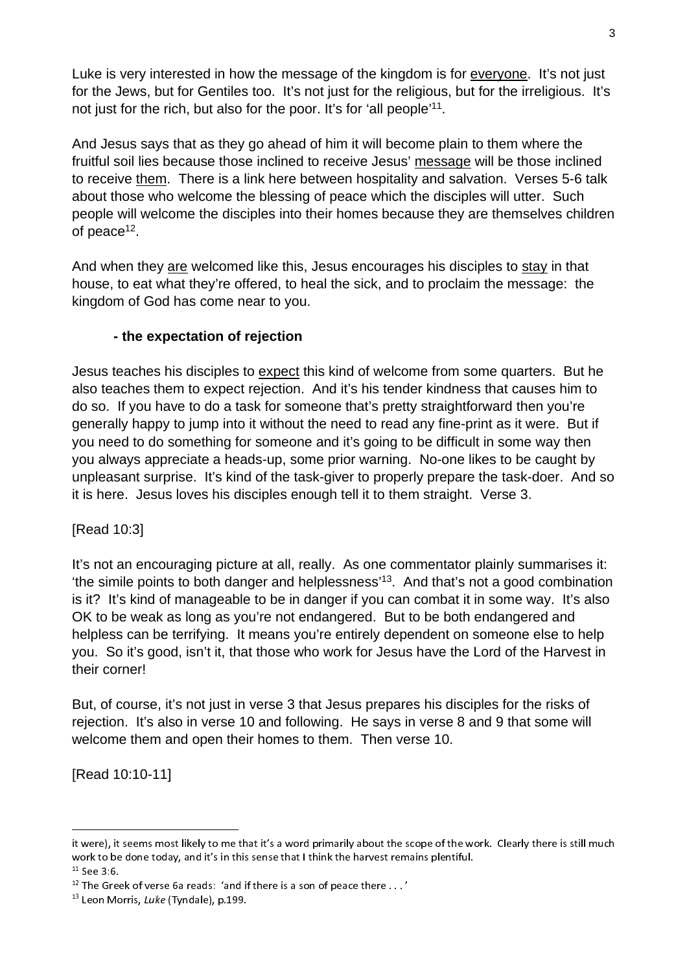Luke is very interested in how the message of the kingdom is for everyone. It's not just for the Jews, but for Gentiles too. It's not just for the religious, but for the irreligious. It's not just for the rich, but also for the poor. It's for 'all people'<sup>11</sup>.

And Jesus says that as they go ahead of him it will become plain to them where the fruitful soil lies because those inclined to receive Jesus' message will be those inclined to receive them. There is a link here between hospitality and salvation. Verses 5-6 talk about those who welcome the blessing of peace which the disciples will utter. Such people will welcome the disciples into their homes because they are themselves children of peace<sup>12</sup>.

And when they are welcomed like this, Jesus encourages his disciples to stay in that house, to eat what they're offered, to heal the sick, and to proclaim the message: the kingdom of God has come near to you.

### **- the expectation of rejection**

Jesus teaches his disciples to expect this kind of welcome from some quarters. But he also teaches them to expect rejection. And it's his tender kindness that causes him to do so. If you have to do a task for someone that's pretty straightforward then you're generally happy to jump into it without the need to read any fine-print as it were. But if you need to do something for someone and it's going to be difficult in some way then you always appreciate a heads-up, some prior warning. No-one likes to be caught by unpleasant surprise. It's kind of the task-giver to properly prepare the task-doer. And so it is here. Jesus loves his disciples enough tell it to them straight. Verse 3.

[Read 10:3]

It's not an encouraging picture at all, really. As one commentator plainly summarises it: 'the simile points to both danger and helplessness'13. And that's not a good combination is it? It's kind of manageable to be in danger if you can combat it in some way. It's also OK to be weak as long as you're not endangered. But to be both endangered and helpless can be terrifying. It means you're entirely dependent on someone else to help you. So it's good, isn't it, that those who work for Jesus have the Lord of the Harvest in their corner!

But, of course, it's not just in verse 3 that Jesus prepares his disciples for the risks of rejection. It's also in verse 10 and following. He says in verse 8 and 9 that some will welcome them and open their homes to them. Then verse 10.

[Read 10:10-11]

j.

it were), it seems most likely to me that it's a word primarily about the scope of the work. Clearly there is still much work to be done today, and it's in this sense that I think the harvest remains plentiful.<br><sup>11</sup> See 3:6.

 $12$  The Greek of verse 6a reads: 'and if there is a son of peace there  $\dots'$ 

<sup>&</sup>lt;sup>13</sup> Leon Morris, Luke (Tyndale), p.199.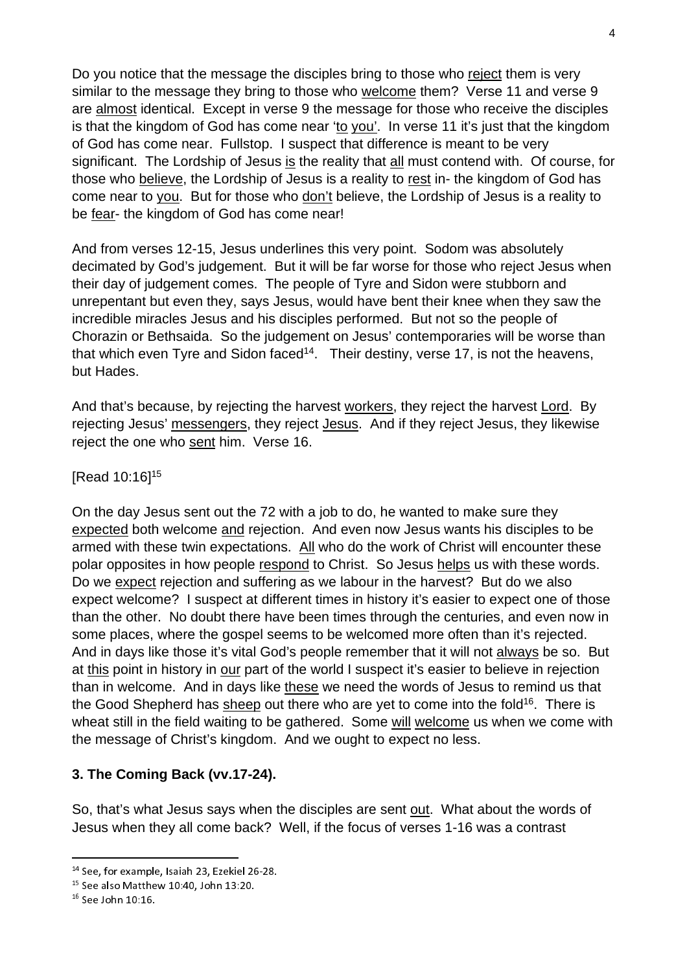Do you notice that the message the disciples bring to those who reject them is very similar to the message they bring to those who welcome them? Verse 11 and verse 9 are almost identical. Except in verse 9 the message for those who receive the disciples is that the kingdom of God has come near 'to you'. In verse 11 it's just that the kingdom of God has come near. Fullstop. I suspect that difference is meant to be very significant. The Lordship of Jesus is the reality that all must contend with. Of course, for those who believe, the Lordship of Jesus is a reality to rest in- the kingdom of God has come near to you. But for those who don't believe, the Lordship of Jesus is a reality to be fear- the kingdom of God has come near!

And from verses 12-15, Jesus underlines this very point. Sodom was absolutely decimated by God's judgement. But it will be far worse for those who reject Jesus when their day of judgement comes. The people of Tyre and Sidon were stubborn and unrepentant but even they, says Jesus, would have bent their knee when they saw the incredible miracles Jesus and his disciples performed. But not so the people of Chorazin or Bethsaida. So the judgement on Jesus' contemporaries will be worse than that which even Tyre and Sidon faced<sup>14</sup>. Their destiny, verse 17, is not the heavens, but Hades.

And that's because, by rejecting the harvest workers, they reject the harvest Lord. By rejecting Jesus' messengers, they reject Jesus. And if they reject Jesus, they likewise reject the one who sent him. Verse 16.

#### [Read 10:16]15

On the day Jesus sent out the 72 with a job to do, he wanted to make sure they expected both welcome and rejection. And even now Jesus wants his disciples to be armed with these twin expectations. All who do the work of Christ will encounter these polar opposites in how people respond to Christ. So Jesus helps us with these words. Do we expect rejection and suffering as we labour in the harvest? But do we also expect welcome? I suspect at different times in history it's easier to expect one of those than the other. No doubt there have been times through the centuries, and even now in some places, where the gospel seems to be welcomed more often than it's rejected. And in days like those it's vital God's people remember that it will not always be so. But at this point in history in our part of the world I suspect it's easier to believe in rejection than in welcome. And in days like these we need the words of Jesus to remind us that the Good Shepherd has sheep out there who are yet to come into the fold<sup>16</sup>. There is wheat still in the field waiting to be gathered. Some will welcome us when we come with the message of Christ's kingdom. And we ought to expect no less.

### **3. The Coming Back (vv.17-24).**

So, that's what Jesus says when the disciples are sent out. What about the words of Jesus when they all come back? Well, if the focus of verses 1-16 was a contrast

<sup>&</sup>lt;sup>14</sup> See, for example, Isaiah 23, Ezekiel 26-28. <sup>14</sup> See, for example, Isaiah 23, Ezekiel 26-28.<br><sup>15</sup> See also Matthew 10:40, John 13:20.<br><sup>16</sup> See John 10:16.

<sup>&</sup>lt;sup>15</sup> See also Matthew 10:40, John 13:20.<br><sup>16</sup> See John 10:16.

 $^{16}$  See John 10:16.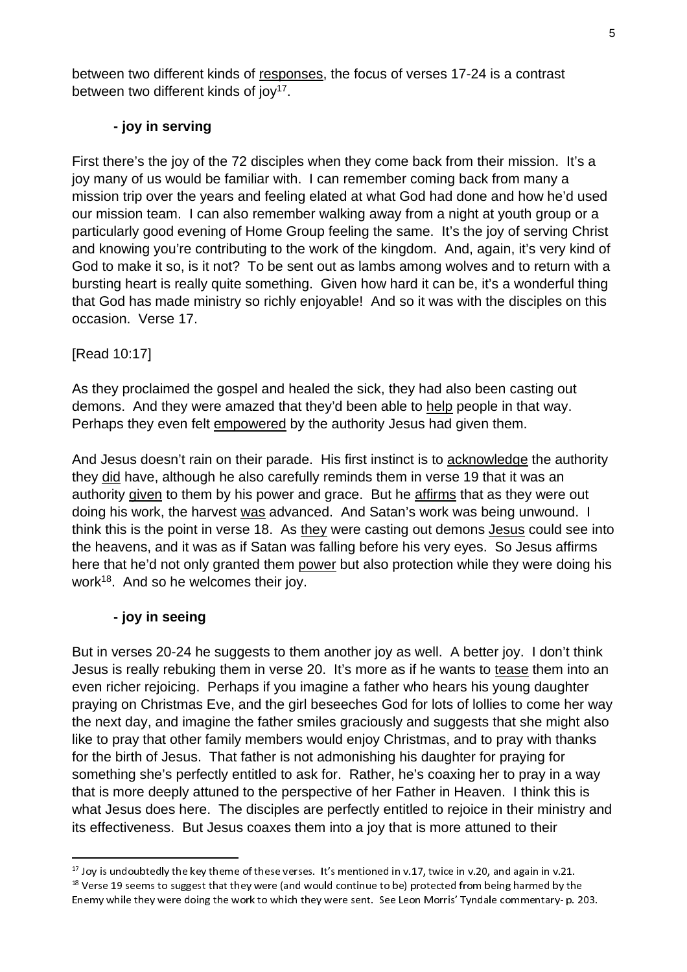between two different kinds of responses, the focus of verses 17-24 is a contrast between two different kinds of  $i$ oy<sup>17</sup>.

### **- joy in serving**

First there's the joy of the 72 disciples when they come back from their mission. It's a joy many of us would be familiar with. I can remember coming back from many a mission trip over the years and feeling elated at what God had done and how he'd used our mission team. I can also remember walking away from a night at youth group or a particularly good evening of Home Group feeling the same. It's the joy of serving Christ and knowing you're contributing to the work of the kingdom. And, again, it's very kind of God to make it so, is it not? To be sent out as lambs among wolves and to return with a bursting heart is really quite something. Given how hard it can be, it's a wonderful thing that God has made ministry so richly enjoyable! And so it was with the disciples on this occasion. Verse 17.

## [Read 10:17]

As they proclaimed the gospel and healed the sick, they had also been casting out demons. And they were amazed that they'd been able to help people in that way. Perhaps they even felt empowered by the authority Jesus had given them.

And Jesus doesn't rain on their parade. His first instinct is to acknowledge the authority they did have, although he also carefully reminds them in verse 19 that it was an authority given to them by his power and grace. But he affirms that as they were out doing his work, the harvest was advanced. And Satan's work was being unwound. I think this is the point in verse 18. As they were casting out demons Jesus could see into the heavens, and it was as if Satan was falling before his very eyes. So Jesus affirms here that he'd not only granted them power but also protection while they were doing his work<sup>18</sup>. And so he welcomes their joy.

# **- joy in seeing**

But in verses 20-24 he suggests to them another joy as well. A better joy. I don't think Jesus is really rebuking them in verse 20. It's more as if he wants to tease them into an even richer rejoicing. Perhaps if you imagine a father who hears his young daughter praying on Christmas Eve, and the girl beseeches God for lots of lollies to come her way the next day, and imagine the father smiles graciously and suggests that she might also like to pray that other family members would enjoy Christmas, and to pray with thanks for the birth of Jesus. That father is not admonishing his daughter for praying for something she's perfectly entitled to ask for. Rather, he's coaxing her to pray in a way that is more deeply attuned to the perspective of her Father in Heaven. I think this is what Jesus does here. The disciples are perfectly entitled to rejoice in their ministry and its effectiveness. But Jesus coaxes them into a joy that is more attuned to their

 $17$  Joy is undoubtedly the key theme of these verses. It's mentioned in v.17, twice in v.20, and again in v.21. <sup>17</sup> Joy is undoubtedly the key theme of these verses. It's mentioned in v.17, twice in v.20, and again in v.21.<br><sup>18</sup> Verse 19 seems to suggest that they were (and would continue to be) protected from being harmed by the<br> Enemy while they were doing the work to which they were sent. See Leon Morris' Tyndale commentary- p. 203.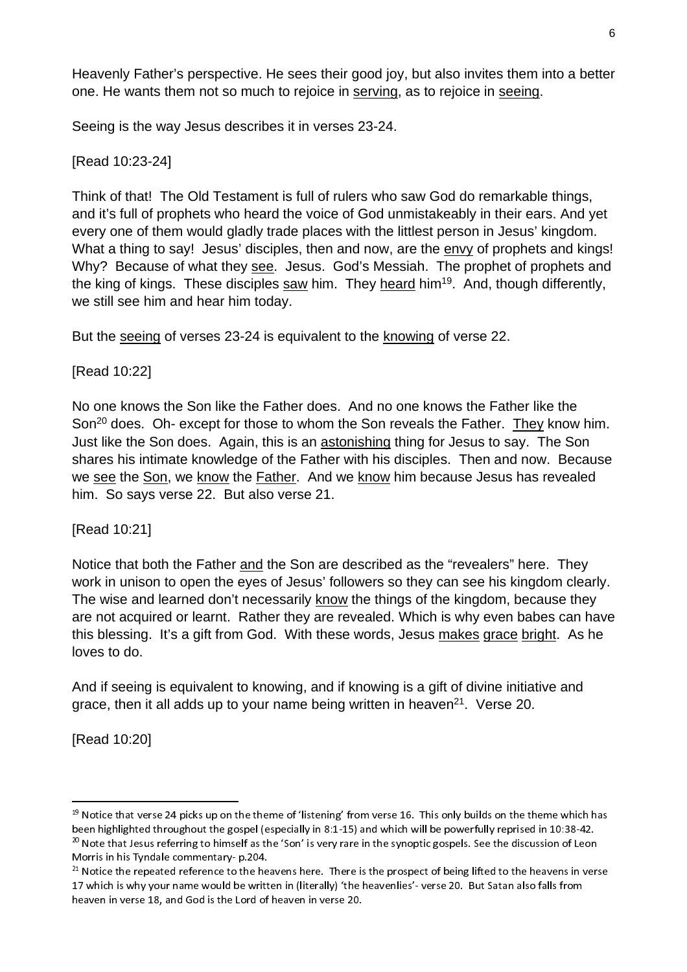Heavenly Father's perspective. He sees their good joy, but also invites them into a better one. He wants them not so much to rejoice in serving, as to rejoice in seeing.

Seeing is the way Jesus describes it in verses 23-24.

[Read 10:23-24]

Think of that! The Old Testament is full of rulers who saw God do remarkable things, and it's full of prophets who heard the voice of God unmistakeably in their ears. And yet every one of them would gladly trade places with the littlest person in Jesus' kingdom. What a thing to say! Jesus' disciples, then and now, are the envy of prophets and kings! Why? Because of what they see. Jesus. God's Messiah. The prophet of prophets and the king of kings. These disciples saw him. They heard him19. And, though differently, we still see him and hear him today.

But the seeing of verses 23-24 is equivalent to the knowing of verse 22.

[Read 10:22]

No one knows the Son like the Father does. And no one knows the Father like the Son<sup>20</sup> does. Oh- except for those to whom the Son reveals the Father. They know him. Just like the Son does. Again, this is an astonishing thing for Jesus to say. The Son shares his intimate knowledge of the Father with his disciples. Then and now. Because we see the Son, we know the Father. And we know him because Jesus has revealed him. So says verse 22. But also verse 21.

[Read 10:21]

Notice that both the Father and the Son are described as the "revealers" here. They work in unison to open the eyes of Jesus' followers so they can see his kingdom clearly. The wise and learned don't necessarily know the things of the kingdom, because they are not acquired or learnt. Rather they are revealed. Which is why even babes can have this blessing. It's a gift from God. With these words, Jesus makes grace bright. As he loves to do.

And if seeing is equivalent to knowing, and if knowing is a gift of divine initiative and grace, then it all adds up to your name being written in heaven<sup>21</sup>. Verse 20.

[Read 10:20]

<sup>19</sup> Notice that verse 24 picks up on the theme of 'listening' from verse 16. This only builds on the theme which has<br>11 April 12 April 12 April 12 April 12 April 12 April 12 April 12 April 12 April 12 April 12 April 12 Apri been highlighted throughout the gospel (especially in 8:1-15) and which will be powerfully reprised in 10:38-42.<br><sup>20</sup> Note that Jesus referring to himself as the 'Son' is very rare in the synoptic gospels. See the discussi Note that Jesus referring to himself as the 'Son' is very rare in the synoptic gospels. See the discussion of Leon

Morris in his Tyndale commentary- p.204.<br><sup>21</sup> Notice the repeated reference to the he.<br>17 which is why your name would be writt<br>heaven in verse 18, and God is the Lord of  $21$  Notice the repeated reference to the heavens here. There is the prospect of being lifted to the heavens in verse 17 which is why your name would be written in (literally) 'the heavenlies'- verse 20. But Satan also falls from heaven in verse 18, and God is the Lord of heaven in verse 20.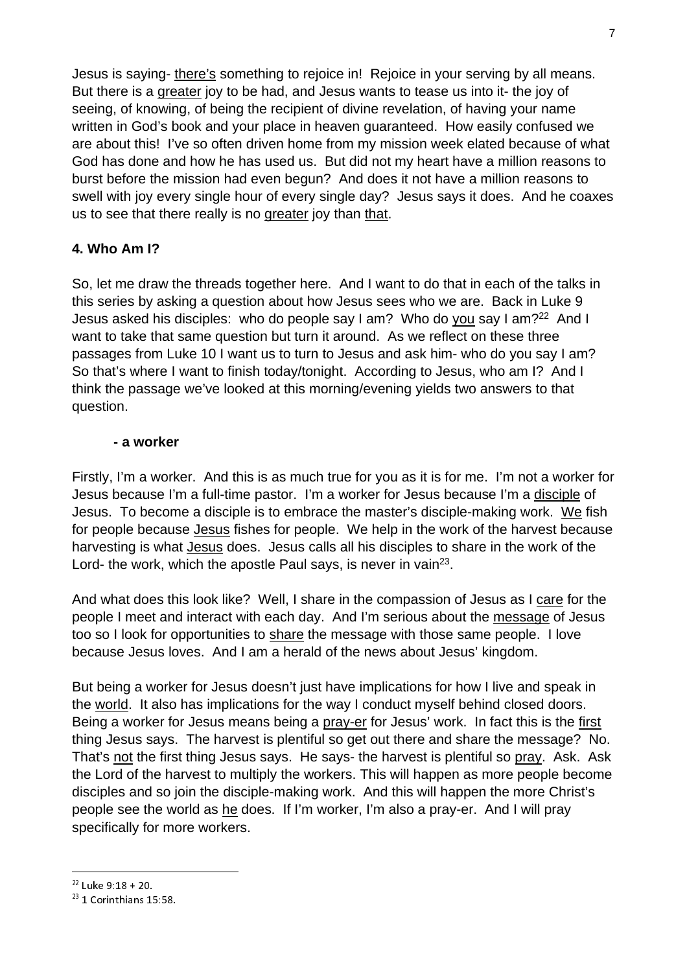Jesus is saying- there's something to rejoice in! Rejoice in your serving by all means. But there is a greater joy to be had, and Jesus wants to tease us into it- the joy of seeing, of knowing, of being the recipient of divine revelation, of having your name written in God's book and your place in heaven guaranteed. How easily confused we are about this! I've so often driven home from my mission week elated because of what God has done and how he has used us. But did not my heart have a million reasons to burst before the mission had even begun? And does it not have a million reasons to swell with joy every single hour of every single day? Jesus says it does. And he coaxes us to see that there really is no greater joy than that.

### **4. Who Am I?**

So, let me draw the threads together here. And I want to do that in each of the talks in this series by asking a question about how Jesus sees who we are. Back in Luke 9 Jesus asked his disciples: who do people say I am? Who do you say I am?<sup>22</sup> And I want to take that same question but turn it around. As we reflect on these three passages from Luke 10 I want us to turn to Jesus and ask him- who do you say I am? So that's where I want to finish today/tonight. According to Jesus, who am I? And I think the passage we've looked at this morning/evening yields two answers to that question.

#### **- a worker**

Firstly, I'm a worker. And this is as much true for you as it is for me. I'm not a worker for Jesus because I'm a full-time pastor. I'm a worker for Jesus because I'm a disciple of Jesus. To become a disciple is to embrace the master's disciple-making work. We fish for people because Jesus fishes for people. We help in the work of the harvest because harvesting is what Jesus does. Jesus calls all his disciples to share in the work of the Lord- the work, which the apostle Paul says, is never in vain<sup>23</sup>.

And what does this look like? Well, I share in the compassion of Jesus as I care for the people I meet and interact with each day. And I'm serious about the message of Jesus too so I look for opportunities to share the message with those same people. I love because Jesus loves. And I am a herald of the news about Jesus' kingdom.

But being a worker for Jesus doesn't just have implications for how I live and speak in the world. It also has implications for the way I conduct myself behind closed doors. Being a worker for Jesus means being a pray-er for Jesus' work. In fact this is the first thing Jesus says. The harvest is plentiful so get out there and share the message? No. That's not the first thing Jesus says. He says- the harvest is plentiful so pray. Ask. Ask the Lord of the harvest to multiply the workers. This will happen as more people become disciples and so join the disciple-making work. And this will happen the more Christ's people see the world as he does. If I'm worker, I'm also a pray-er. And I will pray specifically for more workers.

<sup>22</sup> Luke 9:18 + 20.<br><sup>22</sup> Luke 9:18 + 20.<br><sup>23</sup> 1 Corinthians 15:58.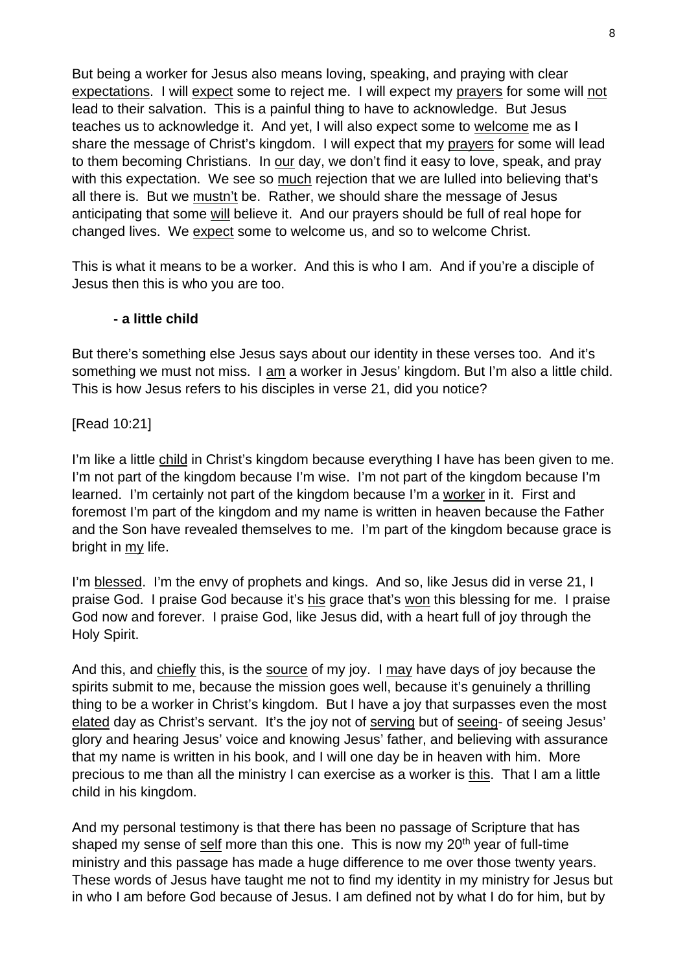But being a worker for Jesus also means loving, speaking, and praying with clear expectations. I will expect some to reject me. I will expect my prayers for some will not lead to their salvation. This is a painful thing to have to acknowledge. But Jesus teaches us to acknowledge it. And yet, I will also expect some to welcome me as I share the message of Christ's kingdom. I will expect that my prayers for some will lead to them becoming Christians. In our day, we don't find it easy to love, speak, and pray with this expectation. We see so much rejection that we are lulled into believing that's all there is. But we mustn't be. Rather, we should share the message of Jesus anticipating that some will believe it. And our prayers should be full of real hope for changed lives. We expect some to welcome us, and so to welcome Christ.

This is what it means to be a worker. And this is who I am. And if you're a disciple of Jesus then this is who you are too.

#### **- a little child**

But there's something else Jesus says about our identity in these verses too. And it's something we must not miss. I am a worker in Jesus' kingdom. But I'm also a little child. This is how Jesus refers to his disciples in verse 21, did you notice?

[Read 10:21]

I'm like a little child in Christ's kingdom because everything I have has been given to me. I'm not part of the kingdom because I'm wise. I'm not part of the kingdom because I'm learned. I'm certainly not part of the kingdom because I'm a worker in it. First and foremost I'm part of the kingdom and my name is written in heaven because the Father and the Son have revealed themselves to me. I'm part of the kingdom because grace is bright in my life.

I'm blessed. I'm the envy of prophets and kings. And so, like Jesus did in verse 21, I praise God. I praise God because it's his grace that's won this blessing for me. I praise God now and forever. I praise God, like Jesus did, with a heart full of joy through the Holy Spirit.

And this, and chiefly this, is the source of my joy. I may have days of joy because the spirits submit to me, because the mission goes well, because it's genuinely a thrilling thing to be a worker in Christ's kingdom. But I have a joy that surpasses even the most elated day as Christ's servant. It's the joy not of serving but of seeing- of seeing Jesus' glory and hearing Jesus' voice and knowing Jesus' father, and believing with assurance that my name is written in his book, and I will one day be in heaven with him. More precious to me than all the ministry I can exercise as a worker is this. That I am a little child in his kingdom.

And my personal testimony is that there has been no passage of Scripture that has shaped my sense of self more than this one. This is now my  $20<sup>th</sup>$  year of full-time ministry and this passage has made a huge difference to me over those twenty years. These words of Jesus have taught me not to find my identity in my ministry for Jesus but in who I am before God because of Jesus. I am defined not by what I do for him, but by